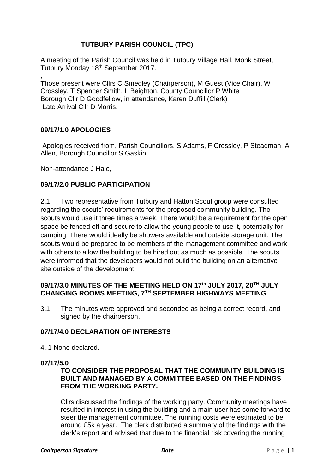# **TUTBURY PARISH COUNCIL (TPC)**

A meeting of the Parish Council was held in Tutbury Village Hall, Monk Street, Tutbury Monday 18<sup>th</sup> September 2017.

, Those present were Cllrs C Smedley (Chairperson), M Guest (Vice Chair), W Crossley, T Spencer Smith, L Beighton, County Councillor P White Borough Cllr D Goodfellow, in attendance, Karen Duffill (Clerk) Late Arrival Cllr D Morris.

# **09/17/1.0 APOLOGIES**

Apologies received from, Parish Councillors, S Adams, F Crossley, P Steadman, A. Allen, Borough Councillor S Gaskin

Non-attendance J Hale,

# **09/17/2.0 PUBLIC PARTICIPATION**

2.1 Two representative from Tutbury and Hatton Scout group were consulted regarding the scouts' requirements for the proposed community building. The scouts would use it three times a week. There would be a requirement for the open space be fenced off and secure to allow the young people to use it, potentially for camping. There would ideally be showers available and outside storage unit. The scouts would be prepared to be members of the management committee and work with others to allow the building to be hired out as much as possible. The scouts were informed that the developers would not build the building on an alternative site outside of the development.

# **09/17/3.0 MINUTES OF THE MEETING HELD ON 17th JULY 2017, 20TH JULY CHANGING ROOMS MEETING, 7TH SEPTEMBER HIGHWAYS MEETING**

3.1 The minutes were approved and seconded as being a correct record, and signed by the chairperson.

# **07/17/4.0 DECLARATION OF INTERESTS**

4..1 None declared.

#### **07/17/5.0**

# **TO CONSIDER THE PROPOSAL THAT THE COMMUNITY BUILDING IS BUILT AND MANAGED BY A COMMITTEE BASED ON THE FINDINGS FROM THE WORKING PARTY.**

Cllrs discussed the findings of the working party. Community meetings have resulted in interest in using the building and a main user has come forward to steer the management committee. The running costs were estimated to be around £5k a year. The clerk distributed a summary of the findings with the clerk's report and advised that due to the financial risk covering the running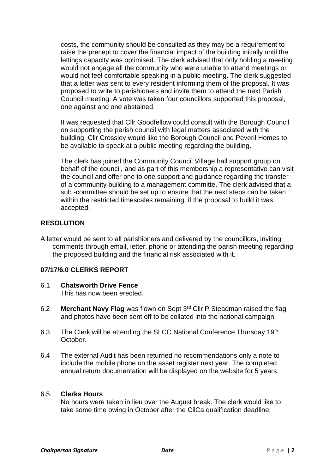costs, the community should be consulted as they may be a requirement to raise the precept to cover the financial impact of the building initially until the lettings capacity was optimised. The clerk advised that only holding a meeting would not engage all the community who were unable to attend meetings or would not feel comfortable speaking in a public meeting. The clerk suggested that a letter was sent to every resident informing them of the proposal. It was proposed to write to parishioners and invite them to attend the next Parish Council meeting. A vote was taken four councillors supported this proposal, one against and one abstained.

It was requested that Cllr Goodfellow could consult with the Borough Council on supporting the parish council with legal matters associated with the building. Cllr Crossley would like the Borough Council and Peveril Homes to be available to speak at a public meeting regarding the building.

The clerk has joined the Community Council Village hall support group on behalf of the council, and as part of this membership a representative can visit the council and offer one to one support and guidance regarding the transfer of a community building to a management committe. The clerk advised that a sub -committee should be set up to ensure that the next steps can be taken within the restricted timescales remaining, if the proposal to build it was accepted.

# **RESOLUTION**

A letter would be sent to all parishioners and delivered by the councillors, inviting comments through email, letter, phone or attending the parish meeting regarding the proposed building and the financial risk associated with it.

# **07/17/6.0 CLERKS REPORT**

- 6.1 **Chatsworth Drive Fence** This has now been erected.
- 6.2 **Merchant Navy Flag** was flown on Sept 3rd Cllr P Steadman raised the flag and photos have been sent off to be collated into the national campaign.
- 6.3 The Clerk will be attending the SLCC National Conference Thursday 19th October.
- 6.4 The external Audit has been returned no recommendations only a note to include the mobile phone on the asset register next year. The completed annual return documentation will be displayed on the website for 5 years.

# 6.5 **Clerks Hours**

No hours were taken in lieu over the August break. The clerk would like to take some time owing in October after the CilCa qualification deadline.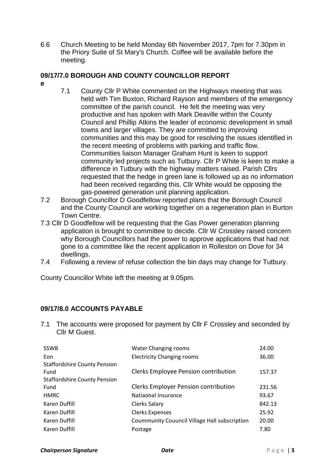6.6 Church Meeting to be held Monday 6th November 2017, 7pm for 7.30pm in the Priory Suite of St Mary's Church. Coffee will be available before the meeting.

# **09/17/7.0 BOROUGH AND COUNTY COUNCILLOR REPORT**

- **e**
- 7.1 County Cllr P White commented on the Highways meeting that was held with Tim Buxton, Richard Rayson and members of the emergency committee of the parish council. He felt the meeting was very productive and has spoken with Mark Deaville within the County Council and Phillip Atkins the leader of economic development in small towns and larger villages. They are committed to improving communities and this may be good for resolving the issues identified in the recent meeting of problems with parking and traffic flow. Communities liaison Manager Graham Hunt is keen to support community led projects such as Tutbury. Cllr P White is keen to make a difference in Tutbury with the highway matters raised. Parish Cllrs requested that the hedge in green lane is followed up as no information had been received regarding this. Cllr White would be opposing the gas-powered generation unit planning application.
- 7.2 Borough Councillor D Goodfellow reported plans that the Borough Council and the County Council are working together on a regeneration plan in Burton Town Centre.
- 7.3 Cllr D Goodfellow will be requesting that the Gas Power generation planning application is brought to committee to decide. Cllr W Crossley raised concern why Borough Councillors had the power to approve applications that had not gone to a committee like the recent application in Rolleston on Dove for 34 dwellings.
- 7.4 Following a review of refuse collection the bin days may change for Tutbury.

County Councillor White left the meeting at 9.05pm.

# **09/17/8.0 ACCOUNTS PAYABLE**

7.1 The accounts were proposed for payment by Cllr F Crossley and seconded by Cllr M Guest.

| <b>SSWB</b>                         | Water Changing rooms                                 | 24.00  |
|-------------------------------------|------------------------------------------------------|--------|
| Eon                                 | <b>Electricity Changing rooms</b>                    | 36.00  |
| <b>Staffordshire County Pension</b> |                                                      |        |
| Fund                                | Clerks Employee Pension contribution                 | 157.37 |
| <b>Staffordshire County Pension</b> |                                                      |        |
| Fund                                | <b>Clerks Employer Pension contribution</b>          | 231.56 |
| <b>HMRC</b>                         | Natiaonal Insurance                                  | 93.67  |
| Karen Duffill                       | Clerks Salary                                        | 842.13 |
| Karen Duffill                       | <b>Clerks Expenses</b>                               | 25.92  |
| Karen Duffill                       | <b>Coummunity Couuncil Village Hall subscription</b> | 20.00  |
| Karen Duffill                       | Postage                                              | 7.80   |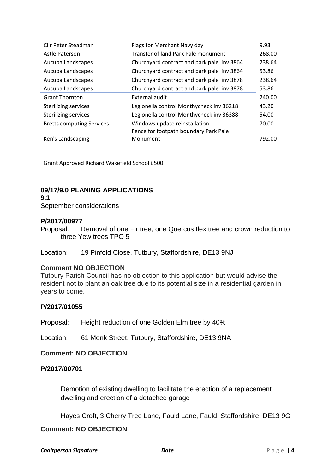| Cllr Peter Steadman              | Flags for Merchant Navy day                | 9.93   |
|----------------------------------|--------------------------------------------|--------|
| Astle Paterson                   | Transfer of land Park Pale monument        | 268.00 |
| Aucuba Landscapes                | Churchyard contract and park pale inv 3864 | 238.64 |
| Aucuba Landscapes                | Churchyard contract and park pale inv 3864 | 53.86  |
| Aucuba Landscapes                | Churchyard contract and park pale inv 3878 | 238.64 |
| Aucuba Landscapes                | Churchyard contract and park pale inv 3878 | 53.86  |
| <b>Grant Thornton</b>            | External audit                             | 240.00 |
| <b>Sterilizing services</b>      | Legionella control Monthycheck inv 36218   | 43.20  |
| <b>Sterilizing services</b>      | Legionella control Monthycheck inv 36388   | 54.00  |
| <b>Bretts computing Services</b> | Windows update reinstallation              | 70.00  |
|                                  | Fence for footpath boundary Park Pale      |        |
| Ken's Landscaping                | Monument                                   | 792.00 |

Grant Approved Richard Wakefield School £500

# **09/17/9.0 PLANING APPLICATIONS**

**9.1**

September considerations

# **P/2017/00977**

Proposal: Removal of one Fir tree, one Quercus Ilex tree and crown reduction to three Yew trees TPO 5

Location: 19 Pinfold Close, Tutbury, Staffordshire, DE13 9NJ

# **Comment NO OBJECTION**

Tutbury Parish Council has no objection to this application but would advise the resident not to plant an oak tree due to its potential size in a residential garden in years to come.

# **P/2017/01055**

Proposal: Height reduction of one Golden Elm tree by 40%

Location: 61 Monk Street, Tutbury, Staffordshire, DE13 9NA

# **Comment: NO OBJECTION**

# **P/2017/00701**

Demotion of existing dwelling to facilitate the erection of a replacement dwelling and erection of a detached garage

Hayes Croft, 3 Cherry Tree Lane, Fauld Lane, Fauld, Staffordshire, DE13 9G

# **Comment: NO OBJECTION**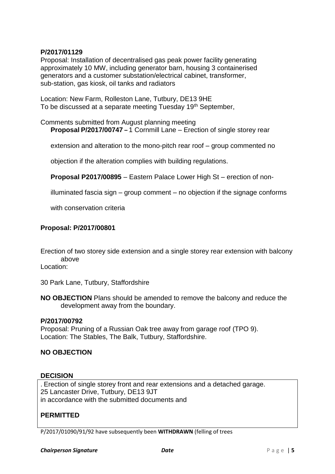# **P/2017/01129**

Proposal: Installation of decentralised gas peak power facility generating approximately 10 MW, including generator barn, housing 3 containerised generators and a customer substation/electrical cabinet, transformer, sub-station, gas kiosk, oil tanks and radiators

Location: New Farm, Rolleston Lane, Tutbury, DE13 9HE To be discussed at a separate meeting Tuesday 19<sup>th</sup> September,

Comments submitted from August planning meeting **Proposal P/2017/00747 –** 1 Cornmill Lane – Erection of single storey rear

extension and alteration to the mono-pitch rear roof – group commented no

objection if the alteration complies with building regulations.

**Proposal P2017/00895** – Eastern Palace Lower High St – erection of non-

illuminated fascia sign – group comment – no objection if the signage conforms

with conservation criteria

### **Proposal: P/2017/00801**

Erection of two storey side extension and a single storey rear extension with balcony above

Location:

30 Park Lane, Tutbury, Staffordshire

**NO OBJECTION** Plans should be amended to remove the balcony and reduce the development away from the boundary.

#### **P/2017/00792**

Proposal: Pruning of a Russian Oak tree away from garage roof (TPO 9). Location: The Stables, The Balk, Tutbury, Staffordshire.

# **NO OBJECTION**

#### **DECISION**

. Erection of single storey front and rear extensions and a detached garage. 25 Lancaster Drive, Tutbury, DE13 9JT in accordance with the submitted documents and

# **PERMITTED**

P/2017/01090/91/92 have subsequently been **WITHDRAWN** (felling of trees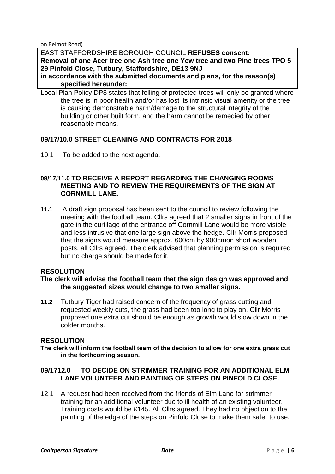on Belmot Road)

EAST STAFFORDSHIRE BOROUGH COUNCIL **REFUSES consent: Removal of one Acer tree one Ash tree one Yew tree and two Pine trees TPO 5 29 Pinfold Close, Tutbury, Staffordshire, DE13 9NJ**

**in accordance with the submitted documents and plans, for the reason(s) specified hereunder:**

Local Plan Policy DP8 states that felling of protected trees will only be granted where the tree is in poor health and/or has lost its intrinsic visual amenity or the tree is causing demonstrable harm/damage to the structural integrity of the building or other built form, and the harm cannot be remedied by other reasonable means.

# **09/17/10.0 STREET CLEANING AND CONTRACTS FOR 2018**

10.1 To be added to the next agenda.

### **09/17/11.0 TO RECEIVE A REPORT REGARDING THE CHANGING ROOMS MEETING AND TO REVIEW THE REQUIREMENTS OF THE SIGN AT CORNMILL LANE.**

**11.1** A draft sign proposal has been sent to the council to review following the meeting with the football team. Cllrs agreed that 2 smaller signs in front of the gate in the curtilage of the entrance off Cornmill Lane would be more visible and less intrusive that one large sign above the hedge. Cllr Morris proposed that the signs would measure approx. 600cm by 900cmon short wooden posts, all Cllrs agreed. The clerk advised that planning permission is required but no charge should be made for it.

#### **RESOLUTION**

### **The clerk will advise the football team that the sign design was approved and the suggested sizes would change to two smaller signs.**

**11.2** Tutbury Tiger had raised concern of the frequency of grass cutting and requested weekly cuts, the grass had been too long to play on. Cllr Morris proposed one extra cut should be enough as growth would slow down in the colder months.

### **RESOLUTION**

**The clerk will inform the football team of the decision to allow for one extra grass cut in the forthcoming season.**

# **09/1712.0 TO DECIDE ON STRIMMER TRAINING FOR AN ADDITIONAL ELM LANE VOLUNTEER AND PAINTING OF STEPS ON PINFOLD CLOSE.**

12.1 A request had been received from the friends of Elm Lane for strimmer training for an additional volunteer due to ill health of an existing volunteer. Training costs would be £145. All Cllrs agreed. They had no objection to the painting of the edge of the steps on Pinfold Close to make them safer to use.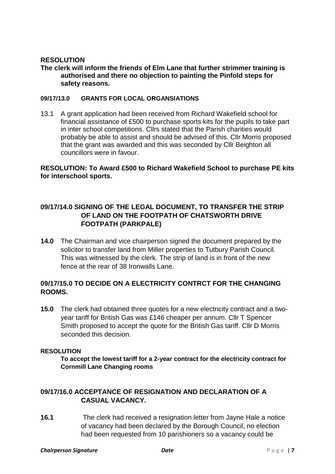# **RESOLUTION**

# **The clerk will inform the friends of Elm Lane that further strimmer training is authorised and there no objection to painting the Pinfold steps for safety reasons.**

### **09/17/13.0 GRANTS FOR LOCAL ORGANSIATIONS**

13.1 A grant application had been received from Richard Wakefield school for financial assistance of £500 to purchase sports kits for the pupils to take part in inter school competitions. Cllrs stated that the Parish charities would probably be able to assist and should be advised of this. Cllr Morris proposed that the grant was awarded and this was seconded by Cllr Beighton all councillors were in favour.

# **RESOLUTION: To Award £500 to Richard Wakefield School to purchase PE kits for interschool sports.**

# **09/17/14.0 SIGNING OF THE LEGAL DOCUMENT, TO TRANSFER THE STRIP OF LAND ON THE FOOTPATH OF CHATSWORTH DRIVE FOOTPATH (PARKPALE)**

**14.0** The Chairman and vice chairperson signed the document prepared by the solicitor to transfer land from Miller properties to Tutbury Parish Council. This was witnessed by the clerk. The strip of land is in front of the new fence at the rear of 38 Ironwalls Lane.

# **09/17/15.0 TO DECIDE ON A ELECTRICITY CONTRCT FOR THE CHANGING ROOMS.**

**15.0** The clerk had obtained three quotes for a new electricity contract and a twoyear tariff for British Gas was £146 cheaper per annum. Cllr T Spencer Smith proposed to accept the quote for the British Gas tariff. Cllr D Morris seconded this decision.

# **RESOLUTION**

**To accept the lowest tariff for a 2-year contract for the electricity contract for Cornmill Lane Changing rooms**

# **09/17/16.0 ACCEPTANCE OF RESIGNATION AND DECLARATION OF A CASUAL VACANCY.**

**16.1** The clerk had received a resignation letter from Jayne Hale a notice of vacancy had been declared by the Borough Council, no election had been requested from 10 parishioners so a vacancy could be